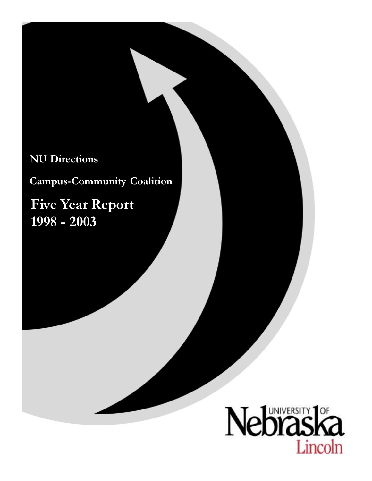# NU Directions

Campus-Community Coalition

Five Year Report 1998 - 2003

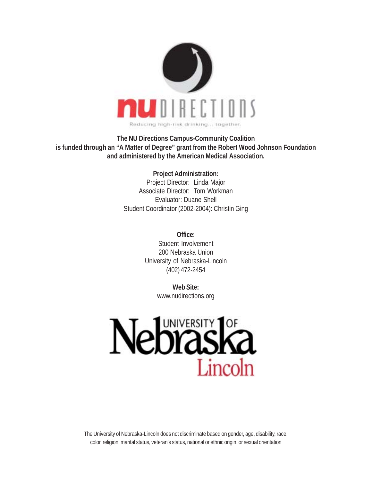

**The NU Directions Campus-Community Coalition is funded through an "A Matter of Degree" grant from the Robert Wood Johnson Foundation and administered by the American Medical Association.**

> **Project Administration:** Project Director: Linda Major Associate Director: Tom Workman Evaluator: Duane Shell Student Coordinator (2002-2004): Christin Ging

> > **Office:** Student Involvement 200 Nebraska Union University of Nebraska-Lincoln (402) 472-2454

> > > **Web Site:** www.nudirections.org



The University of Nebraska-Lincoln does not discriminate based on gender, age, disability, race, color, religion, marital status, veteran's status, national or ethnic origin, or sexual orientation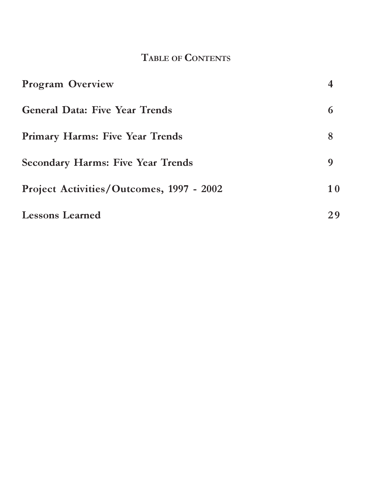# TABLE OF CONTENTS

| <b>Program Overview</b>                  |           |
|------------------------------------------|-----------|
| <b>General Data: Five Year Trends</b>    | 6         |
| <b>Primary Harms: Five Year Trends</b>   | 8         |
| <b>Secondary Harms: Five Year Trends</b> | 9         |
| Project Activities/Outcomes, 1997 - 2002 | <b>10</b> |
| <b>Lessons Learned</b>                   | 29        |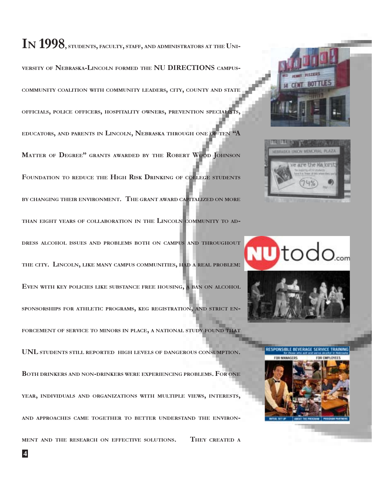# I*N* 1998, STUDENTS, FACULTY, STAFF, AND ADMINISTRATORS AT THE UNI-

VERSITY OF NEBRASKA-LINCOLN FORMED THE NU DIRECTIONS CAMPUS-COMMUNITY COALITION WITH COMMUNITY LEADERS, CITY, COUNTY AND STATE OFFICIALS, POLICE OFFICERS, HOSPITALITY OWNERS, PREVENTION SPECIALISTS, EDUCATORS, AND PARENTS IN LINCOLN, NEBRASKA THROUGH ONE OF TEN "A MATTER OF DEGREE" GRANTS AWARDED BY THE ROBERT WOOD JOHNSON FOUNDATION TO REDUCE THE HIGH RISK DRINKING OF COLLEGE STUDENTS BY CHANGING THEIR ENVIRONMENT. THE GRANT AWARD CAPITALIZED ON MORE THAN EIGHT YEARS OF COLLABORATION IN THE LINCOLN COMMUNITY TO AD-

DRESS ALCOHOL ISSUES AND PROBLEMS BOTH ON CAMPUS AND THROUGHOUT THE CITY. LINCOLN, LIKE MANY CAMPUS COMMUNITIES, HAD A REAL PROBLEM: EVEN WITH KEY POLICIES LIKE SUBSTANCE FREE HOUSING, A BAN ON ALCOHOL SPONSORSHIPS FOR ATHLETIC PROGRAMS, KEG REGISTRATION, AND STRICT EN-

FORCEMENT OF SERVICE TO MINORS IN PLACE, <sup>A</sup> NATIONAL STUDY FOUND THAT

UNL STUDENTS STILL REPORTED HIGH LEVELS OF DANGEROUS CONSUMPTION.

BOTH DRINKERS AND NON-DRINKERS WERE EXPERIENCING PROBLEMS. FOR ONE YEAR, INDIVIDUALS AND ORGANIZATIONS WITH MULTIPLE VIEWS, INTERESTS, AND APPROACHES CAME TOGETHER TO BETTER UNDERSTAND THE ENVIRON-MENT AND THE RESEARCH ON EFFECTIVE SOLUTIONS. THEY CREATED <sup>A</sup>





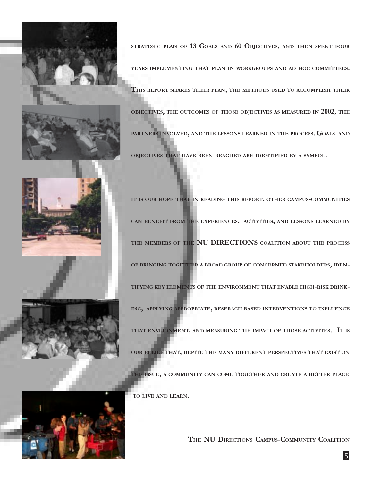



STRATEGIC PLAN OF 13 GOALS AND 60 OBJECTIVES, AND THEN SPENT FOUR

YEARS IMPLEMENTING THAT PLAN IN WORKGROUPS AND AD HOC COMMITTEES.

THIS REPORT SHARES THEIR PLAN, THE METHODS USED TO ACCOMPLISH THEIR

OBJECTIVES, THE OUTCOMES OF THOSE OBJECTIVES AS MEASURED IN 2002, THE PARTNERS INVOLVED, AND THE LESSONS LEARNED IN THE PROCESS. GOALS AND OBJECTIVES THAT HAVE BEEN REACHED ARE IDENTIFIED BY A SYMBOL.

IT IS OUR HOPE THAT IN READING THIS REPORT, OTHER CAMPUS-COMMUNITIES



CAN BENEFIT FROM THE EXPERIENCES, ACTIVITIES, AND LESSONS LEARNED BY THE MEMBERS OF THE NU DIRECTIONS COALITION ABOUT THE PROCESS OF BRINGING TOGETHER A BROAD GROUP OF CONCERNED STAKEHOLDERS, IDEN-TIFYING KEY ELEMENTS OF THE ENVIRONMENT THAT ENABLE HIGH-RISK DRINK-ING, APPLYING APPROPRIATE, RESERACH BASED INTERVENTIONS TO INFLUENCE THAT ENVIRONMENT, AND MEASURING THE IMPACT OF THOSE ACTIVITES. IT IS OUR BELIEF THAT, DEPITE THE MANY DIFFERENT PERSPECTIVES THAT EXIST ON



THE ISSUE, <sup>A</sup> COMMUNITY CAN COME TOGETHER AND CREATE <sup>A</sup> BETTER PLACE

TO LIVE AND LEARN.

THE NU DIRECTIONS CAMPUS-COMMUNITY COALITION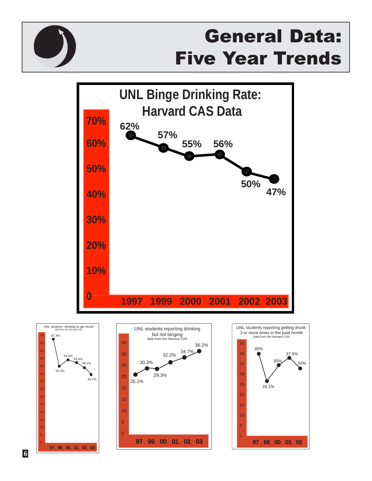

# General Data: Five Year Trends



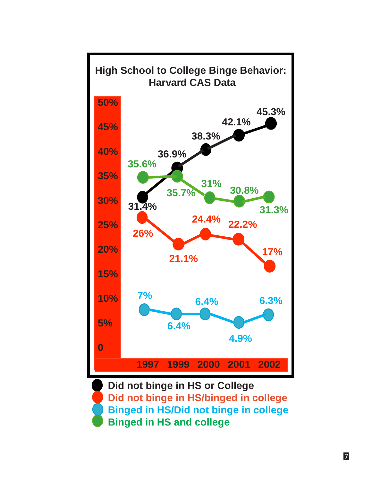

**Did not binge in HS or College Did not binge in HS/binged in college Binged in HS/Did not binge in college Binged in HS and college**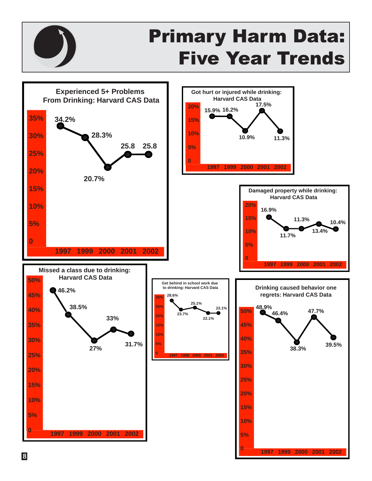

# Primary Harm Data: Five Year Trends



**8**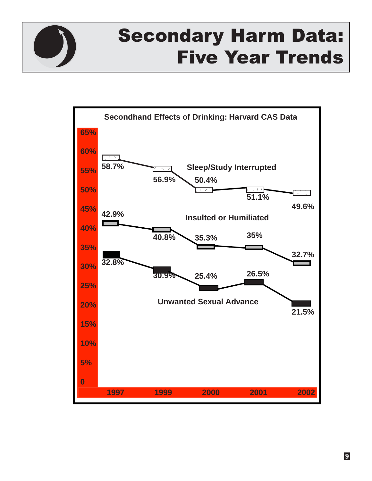

# Secondary Harm Data: Five Year Trends

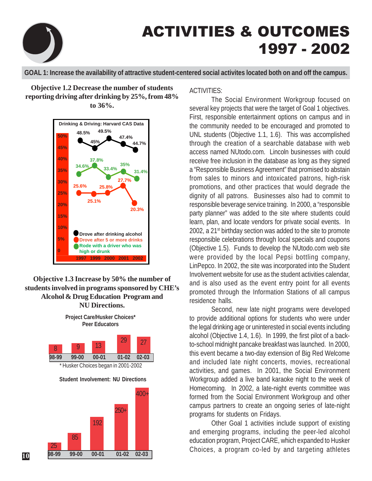

# ACTIVITIES & OUTCOMES 1997 - 2002

**GOAL 1: Increase the availability of attractive student-centered social activites located both on and off the campus.**

**Objective 1.2 Decrease the number of students reporting driving after drinking by 25%, from 48% to 36%.**



# **Objective 1.3 Increase by 50% the number of students involved in programs sponsored by CHE's Alcohol & Drug Education Program and NU Directions.**

**Project Care/Husker Choices\* Peer Educators**



# ACTIVITIES:

The Social Environment Workgroup focused on several key projects that were the target of Goal 1 objectives. First, responsible entertainment options on campus and in the community needed to be encouraged and promoted to UNL students (Objective 1.1, 1.6). This was accomplished through the creation of a searchable database with web access named NUtodo.com. Lincoln businesses with could receive free inclusion in the database as long as they signed a "Responsible Business Agreement" that promised to abstain from sales to minors and intoxicated patrons, high-risk promotions, and other practices that would degrade the dignity of all patrons. Businesses also had to commit to responsible beverage service training. In 2000, a "responsible party planner" was added to the site where students could learn, plan, and locate vendors for private social events. In 2002, a 21<sup>st</sup> birthday section was added to the site to promote responsible celebrations through local specials and coupons (Objective 1.5). Funds to develop the NUtodo.com web site were provided by the local Pepsi bottling company, LinPepco. In 2002, the site was incorporated into the Student Involvement website for use as the student activities calendar, and is also used as the event entry point for all events promoted through the Information Stations of all campus residence halls.

Second, new late night programs were developed to provide additional options for students who were under the legal drinking age or uninterested in social events including alcohol (Objective 1.4, 1.6). In 1999, the first pilot of a backto-school midnight pancake breakfast was launched. In 2000, this event became a two-day extension of Big Red Welcome and included late night concerts, movies, recreational activities, and games. In 2001, the Social Environment Workgroup added a live band karaoke night to the week of Homecoming. In 2002, a late-night events committee was formed from the Social Environment Workgroup and other campus partners to create an ongoing series of late-night programs for students on Fridays.

Other Goal 1 activities include support of existing and emerging programs, including the peer-led alcohol education program, Project CARE, which expanded to Husker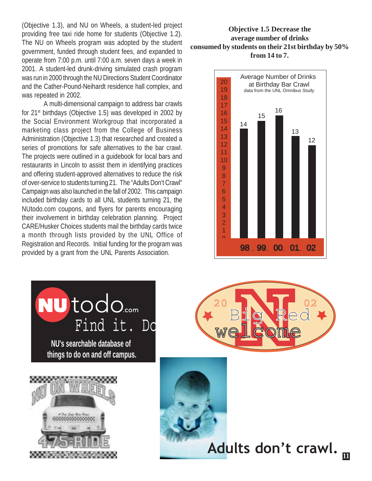(Objective 1.3), and NU on Wheels, a student-led project providing free taxi ride home for students (Objective 1.2). The NU on Wheels program was adopted by the student government, funded through student fees, and expanded to operate from 7:00 p.m. until 7:00 a.m. seven days a week in 2001. A student-led drunk-driving simulated crash program was run in 2000 through the NU Directions Student Coordinator and the Cather-Pound-Neihardt residence hall complex, and was repeated in 2002.

A multi-dimensional campaign to address bar crawls for 21<sup>st</sup> birthdays (Objective 1.5) was developed in 2002 by the Social Environment Workgroup that incorporated a marketing class project from the College of Business Administration (Objective 1.3) that researched and created a series of promotions for safe alternatives to the bar crawl. The projects were outlined in a guidebook for local bars and restaurants in Lincoln to assist them in identifying practices and offering student-approved alternatives to reduce the risk of over-service to students turning 21. The "Adults Don't Crawl" Campaign was also launched in the fall of 2002. This campaign included birthday cards to all UNL students turning 21, the NUtodo.com coupons, and flyers for parents encouraging their involvement in birthday celebration planning. Project CARE/Husker Choices students mail the birthday cards twice a month through lists provided by the UNL Office of Registration and Records. Initial funding for the program was provided by a grant from the UNL Parents Association.

# **Objective 1.5 Decrease the average number of drinks consumed by students on their 21st birthday by 50% from 14 to 7.**







Adults don't crawl.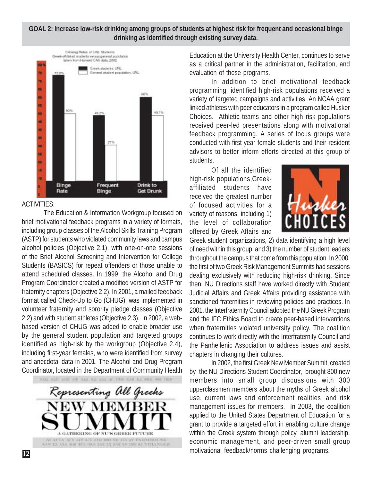#### **GOAL 2: Increase low-risk drinking among groups of students at highest risk for frequent and occasional binge drinking as identified through existing survey data.**



#### ACTIVITIES:

The Education & Information Workgroup focused on brief motivational feedback programs in a variety of formats, including group classes of the Alcohol Skills Training Program (ASTP) for students who violated community laws and campus alcohol policies (Objective 2.1), with one-on-one sessions of the Brief Alcohol Screening and Intervention for College Students (BASICS) for repeat offenders or those unable to attend scheduled classes. In 1999, the Alcohol and Drug Program Coordinator created a modified version of ASTP for fraternity chapters (Objective 2.2). In 2001, a mailed feedback format called Check-Up to Go (CHUG), was implemented in volunteer fraternity and sorority pledge classes (Objective 2.2) and with student athletes (Objective 2.3). In 2002, a webbased version of CHUG was added to enable broader use by the general student population and targeted groups identified as high-risk by the workgroup (Objective 2.4), including first-year females, who were identified from survey and anecdotal data in 2001. The Alcohol and Drug Program Coordinator, located in the Department of Community Health



Education at the University Health Center, continues to serve as a critical partner in the administration, facilitation, and evaluation of these programs.

In addition to brief motivational feedback programming, identified high-risk populations received a variety of targeted campaigns and activities. An NCAA grant linked athletes with peer educators in a program called Husker Choices. Athletic teams and other high risk populations received peer-led presentations along with motivational feedback programming. A series of focus groups were conducted with first-year female students and their resident advisors to better inform efforts directed at this group of students.

Of all the identified high-risk populations,Greekaffiliated students have received the greatest number of focused activities for a variety of reasons, including 1) the level of collaboration offered by Greek Affairs and



Greek student organizations, 2) data identifying a high level of need within this group, and 3) the number of student leaders throughout the campus that come from this population. In 2000, the first of two Greek Risk Management Summits had sessions dealing exclusively with reducing high-risk drinking. Since then, NU Directions staff have worked directly with Student Judicial Affairs and Greek Affairs providing assistance with sanctioned fraternities in reviewing policies and practices. In 2001, the Interfraternity Council adopted the NU Greek Program and the IFC Ethics Board to create peer-based interventions when fraternities violated university policy. The coalition continues to work directly with the Interfraternity Council and the Panhellenic Association to address issues and assist chapters in changing their cultures.

In 2002, the first Greek New Member Summit, created by the NU Directions Student Coordinator, brought 800 new members into small group discussions with 300 upperclassmen members about the myths of Greek alcohol use, current laws and enforcement realities, and risk management issues for members. In 2003, the coalition applied to the United States Department of Education for a grant to provide a targeted effort in enabling culture change within the Greek system through policy, alumni leadership, economic management, and peer-driven small group motivational feedback/norms challenging programs. **<sup>12</sup>**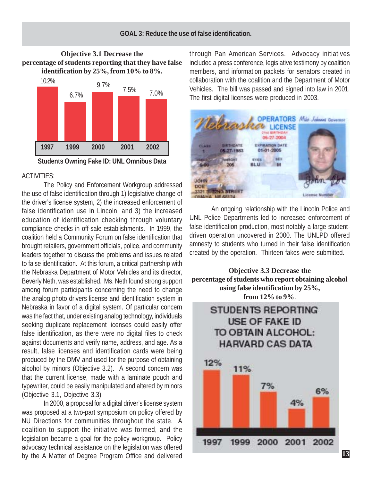## **Objective 3.1 Decrease the percentage of students reporting that they have false identification by 25%, from 10% to 8%.**



**Students Owning Fake ID: UNL Omnibus Data**

#### ACTIVITIES:

The Policy and Enforcement Workgroup addressed the use of false identification through 1) legislative change of the driver's license system, 2) the increased enforcement of false identification use in Lincoln, and 3) the increased education of identification checking through voluntary compliance checks in off-sale establishments. In 1999, the coalition held a Community Forum on false identification that brought retailers, government officials, police, and community leaders together to discuss the problems and issues related to false identification. At this forum, a critical partnership with the Nebraska Department of Motor Vehicles and its director, Beverly Neth, was established. Ms. Neth found strong support among forum participants concerning the need to change the analog photo drivers license and identification system in Nebraska in favor of a digital system. Of particular concern was the fact that, under existing analog technology, individuals seeking duplicate replacement licenses could easily offer false identification, as there were no digital files to check against documents and verify name, address, and age. As a result, false licenses and identification cards were being produced by the DMV and used for the purpose of obtaining alcohol by minors (Objective 3.2). A second concern was that the current license, made with a laminate pouch and typewriter, could be easily manipulated and altered by minors (Objective 3.1, Objective 3.3).

In 2000, a proposal for a digital driver's license system was proposed at a two-part symposium on policy offered by NU Directions for communities throughout the state. A coalition to support the initiative was formed, and the legislation became a goal for the policy workgroup. Policy advocacy technical assistance on the legislation was offered by the A Matter of Degree Program Office and delivered

through Pan American Services. Advocacy initiatives included a press conference, legislative testimony by coalition members, and information packets for senators created in collaboration with the coalition and the Department of Motor Vehicles. The bill was passed and signed into law in 2001. The first digital licenses were produced in 2003.



An ongoing relationship with the Lincoln Police and UNL Police Departments led to increased enforcement of false identification production, most notably a large studentdriven operation uncovered in 2000. The UNLPD offered amnesty to students who turned in their false identification created by the operation. Thirteen fakes were submitted.

**Objective 3.3 Decrease the percentage of students who report obtaining alcohol using false identification by 25%, from 12% to 9%**.

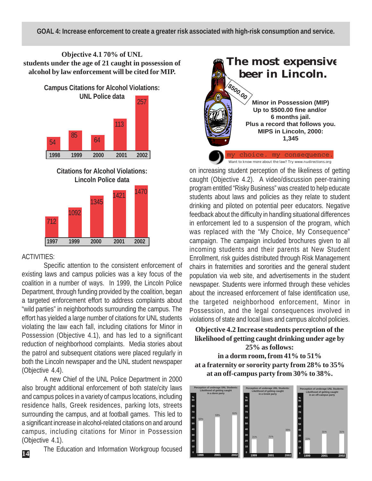**Objective 4.1 70% of UNL students under the age of 21 caught in possession of alcohol by law enforcement will be cited for MIP.**

> **Campus Citations for Alcohol Violations: UNL Police data** 257



**Citations for Alcohol Violations: Lincoln Police data**



# ACTIVITIES:

**14**

Specific attention to the consistent enforcement of existing laws and campus policies was a key focus of the coalition in a number of ways. In 1999, the Lincoln Police Department, through funding provided by the coalition, began a targeted enforcement effort to address complaints about "wild parties" in neighborhoods surrounding the campus. The effort has yielded a large number of citations for UNL students violating the law each fall, including citations for Minor in Possession (Objective 4.1), and has led to a significant reduction of neighborhood complaints. Media stories about the patrol and subsequent citations were placed regularly in both the Lincoln newspaper and the UNL student newspaper (Objective 4.4).

A new Chief of the UNL Police Department in 2000 also brought additional enforcement of both state/city laws and campus polices in a variety of campus locations, including residence halls, Greek residences, parking lots, streets surrounding the campus, and at football games. This led to a significant increase in alcohol-related citations on and around campus, including citations for Minor in Possession (Objective 4.1).

The Education and Information Workgroup focused



on increasing student perception of the likeliness of getting caught (Objective 4.2). A video/discussion peer-training program entitled "Risky Business" was created to help educate students about laws and policies as they relate to student drinking and piloted on potential peer educators. Negative feedback about the difficulty in handling situational differences in enforcement led to a suspension of the program, which was replaced with the "My Choice, My Consequence" campaign. The campaign included brochures given to all incoming students and their parents at New Student Enrollment, risk guides distributed through Risk Management chairs in fraternities and sororities and the general student population via web site, and advertisements in the student newspaper. Students were informed through these vehicles about the increased enforcement of false identification use, the targeted neighborhood enforcement, Minor in Possession, and the legal consequences involved in violations of state and local laws and campus alcohol policies.

**Objective 4.2 Increase students perception of the likelihood of getting caught drinking under age by 25% as follows:**

**in a dorm room, from 41% to 51% at a fraternity or sorority party from 28% to 35% at an off-campus party from 30% to 38%.**

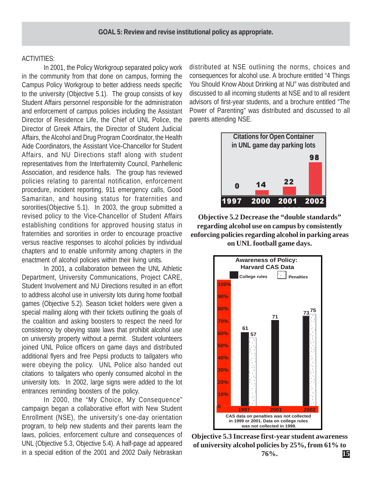#### ACTIVITIES:

In 2001, the Policy Workgroup separated policy work in the community from that done on campus, forming the Campus Policy Workgroup to better address needs specific to the university (Objective 5.1). The group consists of key Student Affairs personnel responsible for the administration and enforcement of campus policies including the Assistant Director of Residence Life, the Chief of UNL Police, the Director of Greek Affairs, the Director of Student Judicial Affairs, the Alcohol and Drug Program Coordinator, the Health Aide Coordinators, the Assistant Vice-Chancellor for Student Affairs, and NU Directions staff along with student representatives from the Interfraternity Council, Panhellenic Association, and residence halls. The group has reviewed policies relating to parental notification, enforcement procedure, incident reporting, 911 emergency calls, Good Samaritan, and housing status for fraternities and sororities(Objective 5.1). In 2003, the group submitted a revised policy to the Vice-Chancellor of Student Affairs establishing conditions for approved housing status in fraternities and sororities in order to encourage proactive versus reactive responses to alcohol policies by individual chapters and to enable uniformity among chapters in the enactment of alcohol policies within their living units.

In 2001, a collaboration between the UNL Athletic Department, University Communications, Project CARE, Student Involvement and NU Directions resulted in an effort to address alcohol use in university lots during home football games (Objective 5.2). Season ticket holders were given a special mailing along with their tickets outlining the goals of the coalition and asking boosters to respect the need for consistency by obeying state laws that prohibit alcohol use on university property without a permit. Student volunteers joined UNL Police officers on game days and distributed additional flyers and free Pepsi products to tailgaters who were obeying the policy. UNL Police also handed out citations to tailgaters who openly consumed alcohol in the university lots. In 2002, large signs were added to the lot entrances reminding boosters of the policy.

In 2000, the "My Choice, My Consequence" campaign began a collaborative effort with New Student Enrollment (NSE), the university's one-day orientation program, to help new students and their parents learn the laws, policies, enforcement culture and consequences of UNL (Objective 5.3, Objective 5.4). A half-page ad appeared in a special edition of the 2001 and 2002 Daily Nebraskan

distributed at NSE outlining the norms, choices and consequences for alcohol use. A brochure entitled "4 Things You Should Know About Drinking at NU" was distributed and discussed to all incoming students at NSE and to all resident advisors of first-year students, and a brochure entitled "The Power of Parenting" was distributed and discussed to all parents attending NSE.



**Objective 5.2 Decrease the "double standards" regarding alcohol use on campus by consistently enforcing policies regarding alcohol in parking areas**

**on UNL football game days.**



**Objective 5.3 Increase first-year student awareness of university alcohol policies by 25%, from 61% to**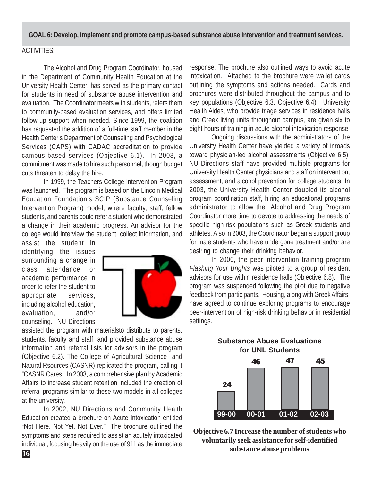**GOAL 6: Develop, implement and promote campus-based substance abuse intervention and treatment services.**

## ACTIVITIES:

The Alcohol and Drug Program Coordinator, housed in the Department of Community Health Education at the University Health Center, has served as the primary contact for students in need of substance abuse intervention and evaluation. The Coordinator meets with students, refers them to community-based evaluation services, and offers limited follow-up support when needed. Since 1999, the coalition has requested the addition of a full-time staff member in the Health Center's Department of Counseling and Psychological Services (CAPS) with CADAC accreditation to provide campus-based services (Objective 6.1). In 2003, a commitment was made to hire such personnel, though budget cuts threaten to delay the hire.

In 1999, the Teachers College Intervention Program was launched. The program is based on the Lincoln Medical Education Foundation's SCIP (Substance Counseling Intervention Program) model, where faculty, staff, fellow students, and parents could refer a student who demonstrated a change in their academic progress. An advisor for the college would interview the student, collect information, and

assist the student in identifying the issues surrounding a change in class attendance or academic performance in order to refer the student to appropriate services, including alcohol education, evaluation, and/or counseling. NU Directions



assisted the program with materialsto distribute to parents, students, faculty and staff, and provided substance abuse information and referral lists for advisors in the program (Objective 6.2). The College of Agricultural Science and Natural Rsources (CASNR) replicated the program, calling it "CASNR Cares." In 2003, a comprehensive plan by Academic Affairs to increase student retention included the creation of referral programs similar to these two models in all colleges at the university.

In 2002, NU Directions and Community Health Education created a brochure on Acute Intoxication entitled "Not Here. Not Yet. Not Ever." The brochure outlined the symptoms and steps required to assist an acutely intoxicated individual, focusing heavily on the use of 911 as the immediate response. The brochure also outlined ways to avoid acute intoxication. Attached to the brochure were wallet cards outlining the symptoms and actions needed. Cards and brochures were distributed throughout the campus and to key populations (Objective 6.3, Objective 6.4). University Health Aides, who provide triage services in residence halls and Greek living units throughout campus, are given six to eight hours of training in acute alcohol intoxication response.

Ongoing discussions with the administrators of the University Health Center have yielded a variety of inroads toward physician-led alcohol assessments (Objective 6.5). NU Directions staff have provided multiple programs for University Health Center physicians and staff on intervention, assessment, and alcohol prevention for college students. In 2003, the University Health Center doubled its alcohol program coordination staff, hiring an educational programs administrator to allow the Alcohol and Drug Program Coordinator more time to devote to addressing the needs of specific high-risk populations such as Greek students and athletes. Also in 2003, the Coordinator began a support group for male students who have undergone treatment and/or are desiring to change their drinking behavior.

In 2000, the peer-intervention training program *Flashing Your Brights* was piloted to a group of resident advisors for use within residence halls (Objective 6.8). The program was suspended following the pilot due to negative feedback from participants. Housing, along with Greek Affairs, have agreed to continue exploring programs to encourage peer-intervention of high-risk drinking behavior in residential settings.



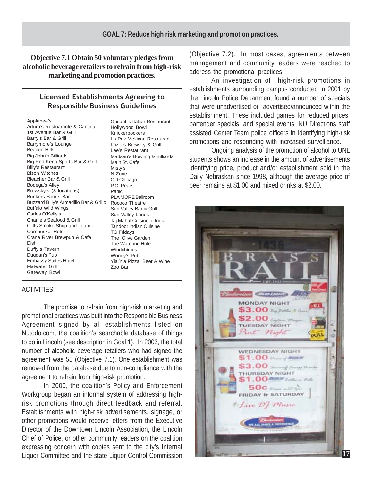**Objective 7.1 Obtain 50 voluntary pledges from alcoholic beverage retailers to refrain from high-risk marketing and promotion practices.**

#### Licensed Establishments Agreeing to Responsible Business Guidelines

Applebee's Arturo's Restuarante & Cantina 1st Avenue Bar & Grill Barry's Bar & Grill Barrymore's Lounge Beacon Hills Big John's Billiards Big Red Keno Sports Bar & Grill Billy's Restaurant Bison Witches Bleacher Bar & Grill Bodega's Alley Brewsky's (3 locations) Bunkers Sports Bar Buzzard Billy's Armadillo Bar & Grillo Rococo Theatre Buffalo Wild Wings Carlos O'Kelly's Charlie's Seafood & Grill Cliffs Smoke Shop and Lounge Cornhusker Hotel Crane River Brewpub & Cafe Dish Duffy's Tavern Duggan's Pub Embassy Suites Hotel Flatwater Grill Gateway Bowl

Grisanti's Italian Restaurant Hollywood Bowl Knickerbockers La Paz Mexican Restaurant Lazlo's Brewery & Grill Lee's Restaurant Madsen's Bowling & Billiards Main St. Cafe Misty's N-Zone Old Chicago P.O. Pears Panic PLA MORE Ballroom Sun Valley Bar & Grill Sun Valley Lanes Taj Mahal Cuisine of India Tandoor Indian Cuisine **TGIFridays** The Olive Garden The Watering Hole Windchimes Woody's Pub Yia Yia Pizza, Beer & Wine Zoo Bar

#### ACTIVITIES:

The promise to refrain from high-risk marketing and promotional practices was built into the Responsible Business Agreement signed by all establishments listed on Nutodo.com, the coalition's searchable database of things to do in Lincoln (see description in Goal 1). In 2003, the total number of alcoholic beverage retailers who had signed the agreement was 55 (Objective 7.1). One establishment was removed from the database due to non-compliance with the agreement to refrain from high-risk promotion.

In 2000, the coalition's Policy and Enforcement Workgroup began an informal system of addressing highrisk promotions through direct feedback and referral. Establishments with high-risk advertisements, signage, or other promotions would receive letters from the Executive Director of the Downtown Lincoln Association, the Lincoln Chief of Police, or other community leaders on the coalition expressing concern with copies sent to the city's Internal Liquor Committee and the state Liquor Control Commission (Objective 7.2). In most cases, agreements between management and community leaders were reached to address the promotional practices.

An investigation of high-risk promotions in establishments surrounding campus conducted in 2001 by the Lincoln Police Department found a number of specials that were unadvertised or advertised/announced within the establishment. These included games for reduced prices, bartender specials, and special events. NU Directions staff assisted Center Team police officers in identifying high-risk promotions and responding with increased survelliance.

Ongoing analysis of the promotion of alcohol to UNL students shows an increase in the amount of advertisements identifying price, product and/or establishment sold in the Daily Nebraskan since 1998, although the average price of beer remains at \$1.00 and mixed drinks at \$2.00.

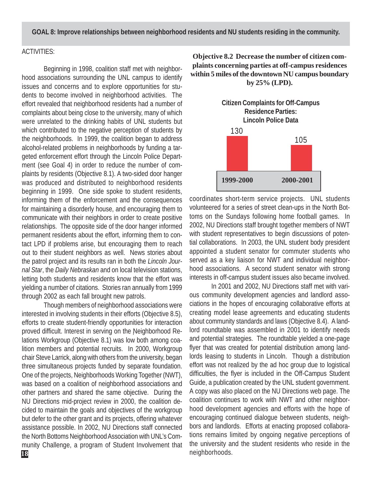**GOAL 8: Improve relationships between neighborhood residents and NU students residing in the community.**

### ACTIVITIES:

Beginning in 1998, coalition staff met with neighborhood associations surrounding the UNL campus to identify issues and concerns and to explore opportunities for students to become involved in neighborhood activities. The effort revealed that neighborhood residents had a number of complaints about being close to the university, many of which were unrelated to the drinking habits of UNL students but which contributed to the negative perception of students by the neighborhoods. In 1999, the coalition began to address alcohol-related problems in neighborhoods by funding a targeted enforcement effort through the Lincoln Police Department (see Goal 4) in order to reduce the number of complaints by residents (Objective 8.1). A two-sided door hanger was produced and distributed to neighborhood residents beginning in 1999. One side spoke to student residents, informing them of the enforcement and the consequences for maintaining a disorderly house, and encouraging them to communicate with their neighbors in order to create positive relationships. The opposite side of the door hanger informed permanent residents about the effort, informing them to contact LPD if problems arise, but encouraging them to reach out to their student neighbors as well. News stories about the patrol project and its results ran in both the *Lincoln Journal Star*, the *Daily Nebraskan* and on local television stations, letting both students and residents know that the effort was yielding a number of citations. Stories ran annually from 1999 through 2002 as each fall brought new patrols.

Though members of neighborhood associations were interested in involving students in their efforts (Objective 8.5), efforts to create student-friendly opportunities for interaction proved difficult. Interest in serving on the Neighborhood Relations Workgroup (Objective 8.1) was low both among coalition members and potential recruits. In 2000, Workgroup chair Steve Larrick, along with others from the university, began three simultaneous projects funded by separate foundation. One of the projects, Neighborhoods Working Together (NWT), was based on a coalition of neighborhood associations and other partners and shared the same objective. During the NU Directions mid-project review in 2000, the coalition decided to maintain the goals and objectives of the workgroup but defer to the other grant and its projects, offering whatever assistance possible. In 2002, NU Directions staff connected the North Bottoms Neighborhood Association with UNL's Community Challenge, a program of Student Involvement that

## **Objective 8.2 Decrease the number of citizen complaints concerning parties at off-campus residences within 5 miles of the downtown NU campus boundary by 25% (LPD).**



coordinates short-term service projects. UNL students volunteered for a series of street clean-ups in the North Bottoms on the Sundays following home football games. In 2002, NU Directions staff brought together members of NWT with student representatives to begin discussions of potential collaborations. In 2003, the UNL student body president appointed a student senator for commuter students who served as a key liaison for NWT and individual neighborhood associations. A second student senator with strong interests in off-campus student issues also became involved.

In 2001 and 2002, NU Directions staff met with various community development agencies and landlord associations in the hopes of encouraging collaborative efforts at creating model lease agreements and educating students about community standards and laws (Objective 8.4). A landlord roundtable was assembled in 2001 to identify needs and potential strategies. The roundtable yielded a one-page flyer that was created for potential distribution among landlords leasing to students in Lincoln. Though a distribution effort was not realized by the ad hoc group due to logistical difficulties, the flyer is included in the Off-Campus Student Guide, a publication created by the UNL student government. A copy was also placed on the NU Directions web page. The coalition continues to work with NWT and other neighborhood development agencies and efforts with the hope of encouraging continued dialogue between students, neighbors and landlords. Efforts at enacting proposed collaborations remains limited by ongoing negative perceptions of the university and the student residents who reside in the **18 18 neighborhoods**.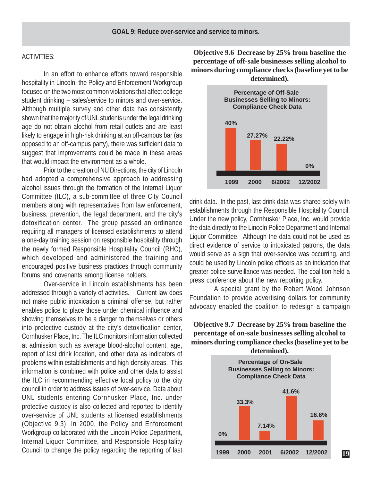#### ACTIVITIES:

In an effort to enhance efforts toward responsible hospitality in Lincoln, the Policy and Enforcement Workgroup focused on the two most common violations that affect college student drinking – sales/service to minors and over-service. Although multiple survey and other data has consistently shown that the majority of UNL students under the legal drinking age do not obtain alcohol from retail outlets and are least likely to engage in high-risk drinking at an off-campus bar (as opposed to an off-campus party), there was sufficient data to suggest that improvements could be made in these areas that would impact the environment as a whole.

Prior to the creation of NU Directions, the city of Lincoln had adopted a comprehensive approach to addressing alcohol issues through the formation of the Internal Liquor Committee (ILC), a sub-committee of three City Council members along with representatives from law enforcement, business, prevention, the legal department, and the city's detoxification center. The group passed an ordinance requiring all managers of licensed establishments to attend a one-day training session on responsible hospitality through the newly formed Responsible Hospitality Council (RHC), which developed and administered the training and encouraged positive business practices through community forums and covenants among license holders.

Over-service in Lincoln establishments has been addressed through a variety of activities. Current law does not make public intoxication a criminal offense, but rather enables police to place those under chemical influence and showing themselves to be a danger to themselves or others into protective custody at the city's detoxification center, Cornhusker Place, Inc. The ILC monitors information collected at admission such as average blood-alcohol content, age, report of last drink location, and other data as indicators of problems within establishments and high-density areas. This information is combined with police and other data to assist the ILC in recommending effective local policy to the city council in order to address issues of over-service. Data about UNL students entering Cornhusker Place, Inc. under protective custody is also collected and reported to identify over-service of UNL students at licensed establishments (Objective 9.3). In 2000, the Policy and Enforcement Workgroup collaborated with the Lincoln Police Department, Internal Liquor Committee, and Responsible Hospitality Council to change the policy regarding the reporting of last

**Objective 9.6 Decrease by 25% from baseline the percentage of off-sale businesses selling alcohol to minors during compliance checks (baseline yet to be determined).**



drink data. In the past, last drink data was shared solely with establishments through the Responsible Hospitality Council. Under the new policy, Cornhusker Place, Inc. would provide the data directly to the Lincoln Police Department and Internal Liquor Committee. Although the data could not be used as direct evidence of service to intoxicated patrons, the data would serve as a sign that over-service was occurring, and could be used by Lincoln police officers as an indication that greater police surveillance was needed. The coalition held a press conference about the new reporting policy.

 A special grant by the Robert Wood Johnson Foundation to provide advertising dollars for community advocacy enabled the coalition to redesign a campaign

# **Objective 9.7 Decrease by 25% from baseline the percentage of on-sale businesses selling alcohol to minors during compliance checks (baseline yet to be**



**19**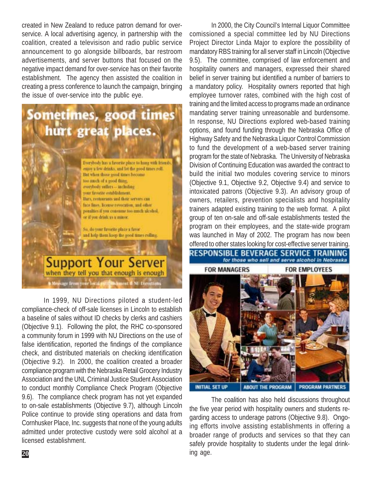created in New Zealand to reduce patron demand for overservice. A local advertising agency, in partnership with the coalition, created a televisison and radio public service announcement to go alongside billboards, bar restroom advertisements, and server buttons that focused on the negative impact demand for over-service has on their favorite establishment. The agency then assisted the coalition in creating a press conference to launch the campaign, bringing the issue of over-service into the public eye.

# ometimes, good times hurt great places. Everybody has a favorite place to hang with friends, enjoy a few drinks, and let the good times roll. But when those good times become too much of a good faing. avanhody saffers - including pair favorite establishment. Bars, restaurants and their servers can face lines, license revocation, and other potalties if you consume too much slcohol. or if you drink as a minor. Su, do your favorite place a favor. and help them keep the good times colling. **Support Your Server** when they tell you that enough is enough

In 1999, NU Directions piloted a student-led compliance-check of off-sale licenses in Lincoln to establish a baseline of sales without ID checks by clerks and cashiers (Objective 9.1). Following the pilot, the RHC co-sponsored a community forum in 1999 with NU Directions on the use of false identification, reported the findings of the compliance check, and distributed materials on checking identification (Objective 9.2). In 2000, the coalition created a broader compliance program with the Nebraska Retail Grocery Industry Association and the UNL Criminal Justice Student Association to conduct monthly Compliance Check Program (Objective 9.6). The compliance check program has not yet expanded to on-sale establishments (Objective 9.7), although Lincoln Police continue to provide sting operations and data from Cornhusker Place, Inc. suggests that none of the young adults admitted under protective custody were sold alcohol at a licensed establishment.

**UDB-lunent d** NU Directions

In 2000, the City Council's Internal Liquor Committee comissioned a special committee led by NU Directions Project Director Linda Major to explore the possibility of mandatory RBS training for all server staff in Lincoln (Objective 9.5). The committee, comprised of law enforcement and hospitality owners and managers, expressed their shared belief in server training but identified a number of barriers to a mandatory policy. Hospitality owners reported that high employee turnover rates, combined with the high cost of training and the limited access to programs made an ordinance mandating server training unreasonable and burdensome. In response, NU Directions explored web-based training options, and found funding through the Nebraska Office of Highway Safety and the Nebraska Liquor Control Commission to fund the development of a web-based server training program for the state of Nebraska. The University of Nebraska Division of Continuing Education was awarded the contract to build the initial two modules covering service to minors (Objective 9.1, Objective 9.2, Objective 9.4) and service to intoxicated patrons (Objective 9.3). An advisory group of owners, retailers, prevention specialists and hospitality trainers adapted existing training to the web format. A pilot group of ten on-sale and off-sale establishments tested the program on their employees, and the state-wide program was launched in May of 2002. The program has now been offered to other states looking for cost-effective server training.

RESPONSIBLE BEVERAGE SERVICE TRAINING for those who sell and serve alcohol in Nebraska



The coalition has also held discussions throughout the five year period with hospitality owners and students regarding access to underage patrons (Objective 9.8). Ongoing efforts involve assisting establishments in offering a broader range of products and services so that they can safely provide hospitality to students under the legal drink-**20** ing age.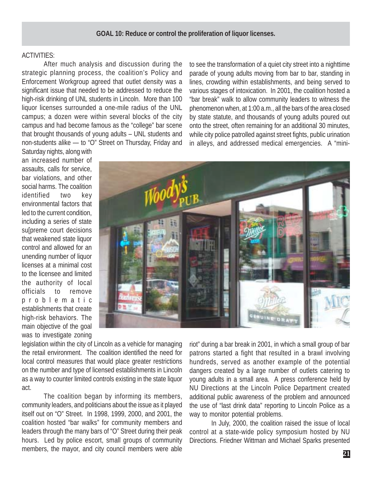#### **GOAL 10: Reduce or control the proliferation of liquor licenses.**

#### ACTIVITIES:

After much analysis and discussion during the strategic planning process, the coalition's Policy and Enforcement Workgroup agreed that outlet density was a significant issue that needed to be addressed to reduce the high-risk drinking of UNL students in Lincoln. More than 100 liquor licenses surrounded a one-mile radius of the UNL campus; a dozen were within several blocks of the city campus and had become famous as the "college" bar scene that brought thousands of young adults – UNL students and non-students alike — to "O" Street on Thursday, Friday and

to see the transformation of a quiet city street into a nighttime parade of young adults moving from bar to bar, standing in lines, crowding within establishments, and being served to various stages of intoxication. In 2001, the coalition hosted a "bar break" walk to allow community leaders to witness the phenomenon when, at 1:00 a.m., all the bars of the area closed by state statute, and thousands of young adults poured out onto the street, often remaining for an additional 30 minutes, while city police patrolled against street fights, public urination in alleys, and addressed medical emergencies. A "mini-

Saturday nights, along with an increased number of assaults, calls for service, bar violations, and other social harms. The coalition identified two key environmental factors that led to the current condition, including a series of state su[preme court decisions that weakened state liquor control and allowed for an unending number of liquor licenses at a minimal cost to the licensee and limited the authority of local officials to remove problematic establishments that create high-risk behaviors. The main objective of the goal was to investigate zoning



legislation within the city of Lincoln as a vehicle for managing the retail environment. The coalition identified the need for local control measures that would place greater restrictions on the number and type of licensed establishments in Lincoln as a way to counter limited controls existing in the state liquor act.

The coalition began by informing its members, community leaders, and politicians about the issue as it played itself out on "O" Street. In 1998, 1999, 2000, and 2001, the coalition hosted "bar walks" for community members and leaders through the many bars of "O" Street during their peak hours. Led by police escort, small groups of community members, the mayor, and city council members were able riot" during a bar break in 2001, in which a small group of bar patrons started a fight that resulted in a brawl involving hundreds, served as another example of the potential dangers created by a large number of outlets catering to young adults in a small area. A press conference held by NU Directions at the Lincoln Police Department created additional public awareness of the problem and announced the use of "last drink data" reporting to Lincoln Police as a way to monitor potential problems.

In July, 2000, the coalition raised the issue of local control at a state-wide policy symposium hosted by NU Directions. Friedner Wittman and Michael Sparks presented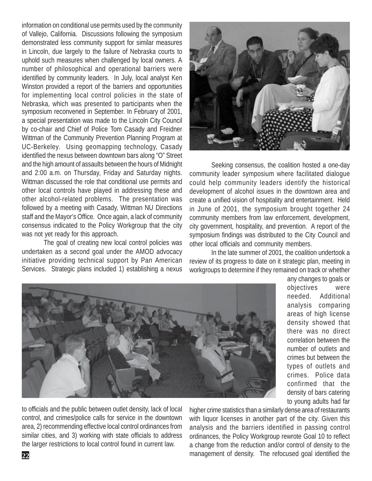symposium reconvened in September. In February of 2001, a special presentation was made to the Lincoln City Council by co-chair and Chief of Police Tom Casady and Freidner Wittman of the Community Prevention Planning Program at UC-Berkeley. Using geomapping technology, Casady identified the nexus between downtown bars along "O" Street and the high amount of assaults between the hours of Midnight and 2:00 a.m. on Thursday, Friday and Saturday nights. Wittman discussed the role that conditional use permits and other local controls have played in addressing these and other alcohol-related problems. The presentation was followed by a meeting with Casady, Wittman NU Directions staff and the Mayor's Office. Once again, a lack of community consensus indicated to the Policy Workgroup that the city was not yet ready for this approach. information on conditional use permits used by the community of Vallejo, California. Discussions following the symposium demonstrated less community support for similar measures in Lincoln, due largely to the failure of Nebraska courts to uphold such measures when challenged by local owners. A number of philosophical and operational barriers were identified by community leaders. In July, local analyst Ken Winston provided a report of the barriers and opportunities for implementing local control policies in the state of Nebraska, which was presented to participants when the

The goal of creating new local control policies was undertaken as a second goal under the AMOD advocacy initiative providing technical support by Pan American Services. Strategic plans included 1) establishing a nexus



Seeking consensus, the coalition hosted a one-day community leader symposium where facilitated dialogue could help community leaders identify the historical development of alcohol issues in the downtown area and create a unified vision of hospitality and entertainment. Held in June of 2001, the symposium brought together 24 community members from law enforcement, development, city government, hospitality, and prevention. A report of the symposium findings was distributed to the City Council and other local officials and community members.

In the late summer of 2001, the coalition undertook a review of its progress to date on it strategic plan, meeting in workgroups to determine if they remained on track or whether



any changes to goals or objectives were needed. Additional analysis comparing areas of high license density showed that there was no direct correlation between the number of outlets and crimes but between the types of outlets and crimes. Police data confirmed that the density of bars catering to young adults had far

to officials and the public between outlet density, lack of local control, and crimes/police calls for service in the downtown area, 2) recommending effective local control ordinances from similar cities, and 3) working with state officials to address the larger restrictions to local control found in current law.

higher crime statistics than a similarly dense area of restaurants with liquor licenses in another part of the city. Given this analysis and the barriers identified in passing control ordinances, the Policy Workgroup rewrote Goal 10 to reflect a change from the reduction and/or control of density to the management of density. The refocused goal identified the **22**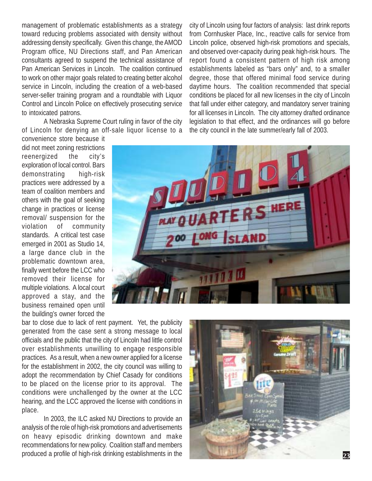management of problematic establishments as a strategy toward reducing problems associated with density without addressing density specifically. Given this change, the AMOD Program office, NU Directions staff, and Pan American consultants agreed to suspend the technical assistance of Pan American Services in Lincoln. The coalition continued to work on other major goals related to creating better alcohol service in Lincoln, including the creation of a web-based server-seller training program and a roundtable with Liquor Control and Lincoln Police on effectively prosecuting service to intoxicated patrons.

A Nebraska Supreme Court ruling in favor of the city of Lincoln for denying an off-sale liquor license to a

convenience store because it did not meet zoning restrictions reenergized the city's exploration of local control. Bars demonstrating high-risk practices were addressed by a team of coalition members and others with the goal of seeking change in practices or license removal/ suspension for the violation of community standards. A critical test case emerged in 2001 as Studio 14, a large dance club in the problematic downtown area, finally went before the LCC who removed their license for multiple violations. A local court approved a stay, and the business remained open until the building's owner forced the

that fall under either category, and mandatory server training for all licenses in Lincoln. The city attorney drafted ordinance legislation to that effect, and the ordinances will go before the city council in the late summer/early fall of 2003.**RS HERE** 

city of Lincoln using four factors of analysis: last drink reports from Cornhusker Place, Inc., reactive calls for service from Lincoln police, observed high-risk promotions and specials, and observed over-capacity during peak high-risk hours. The report found a consistent pattern of high risk among establishments labeled as "bars only" and, to a smaller degree, those that offered minimal food service during daytime hours. The coalition recommended that special conditions be placed for all new licenses in the city of Lincoln

bar to close due to lack of rent payment. Yet, the publicity generated from the case sent a strong message to local officials and the public that the city of Lincoln had little control over establishments unwilling to engage responsible practices. As a result, when a new owner applied for a license for the establishment in 2002, the city council was willing to adopt the recommendation by Chief Casady for conditions to be placed on the license prior to its approval. The conditions were unchallenged by the owner at the LCC hearing, and the LCC approved the license with conditions in place.

In 2003, the ILC asked NU Directions to provide an analysis of the role of high-risk promotions and advertisements on heavy episodic drinking downtown and make recommendations for new policy. Coalition staff and members produced a profile of high-risk drinking establishments in the



**23**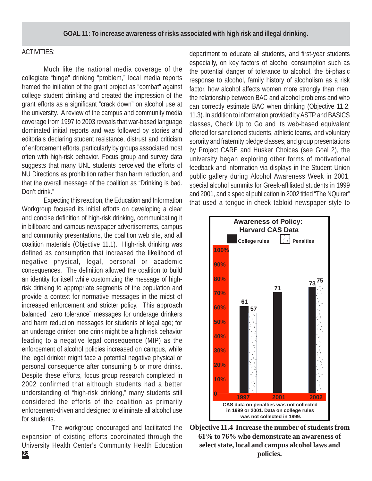#### ACTIVITIES:

Much like the national media coverage of the collegiate "binge" drinking "problem," local media reports framed the initiation of the grant project as "combat" against college student drinking and created the impression of the grant efforts as a significant "crack down" on alcohol use at the university. A review of the campus and community media coverage from 1997 to 2003 reveals that war-based language dominated initial reports and was followed by stories and editorials declaring student resistance, distrust and criticism of enforcement efforts, particularly by groups associated most often with high-risk behavior. Focus group and survey data suggests that many UNL students perceived the efforts of NU Directions as prohibition rather than harm reduction, and that the overall message of the coalition as "Drinking is bad. Don't drink."

Expecting this reaction, the Education and Information Workgroup focused its initial efforts on developing a clear and concise definition of high-risk drinking, communicating it in billboard and campus newspaper advertisements, campus and community presentations, the coalition web site, and all coalition materials (Objective 11.1). High-risk drinking was defined as consumption that increased the likelihood of negative physical, legal, personal or academic consequences. The definition allowed the coalition to build an identity for itself while customizing the message of highrisk drinking to appropriate segments of the population and provide a context for normative messages in the midst of increased enforcement and stricter policy. This approach balanced "zero tolerance" messages for underage drinkers and harm reduction messages for students of legal age; for an underage drinker, one drink might be a high-risk behavior leading to a negative legal consequence (MIP) as the enforcement of alcohol policies increased on campus, while the legal drinker might face a potential negative physical or personal consequence after consuming 5 or more drinks. Despite these efforts, focus group research completed in 2002 confirmed that although students had a better understanding of "high-risk drinking," many students still considered the efforts of the coalition as primarily enforcement-driven and designed to eliminate all alcohol use for students.

 The workgroup encouraged and facilitated the expansion of existing efforts coordinated through the University Health Center's Community Health Education

department to educate all students, and first-year students especially, on key factors of alcohol consumption such as the potential danger of tolerance to alcohol, the bi-phasic response to alcohol, family history of alcoholism as a risk factor, how alcohol affects women more strongly than men, the relationship between BAC and alcohol problems and who can correctly estimate BAC when drinking (Objective 11.2, 11.3). In addition to information provided by ASTP and BASICS classes, Check Up to Go and its web-based equivalent offered for sanctioned students, athletic teams, and voluntary sorority and fraternity pledge classes, and group presentations by Project CARE and Husker Choices (see Goal 2), the university began exploring other forms of motivational feedback and information via displays in the Student Union public gallery during Alcohol Awareness Week in 2001, special alcohol summits for Greek-affiliated students in 1999 and 2001, and a special publication in 2002 titled "The NQuirer" that used a tongue-in-cheek tabloid newspaper style to



**Objective 11.4 Increase the number of students from 61% to 76% who demonstrate an awareness of select state, local and campus alcohol laws and policies.**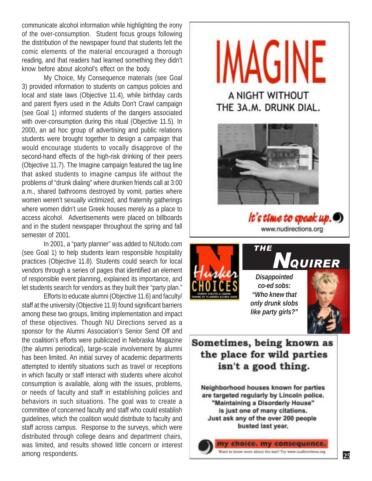communicate alcohol information while highlighting the irony of the over-consumption. Student focus groups following the distribution of the newspaper found that students felt the comic elements of the material encouraged a thorough reading, and that readers had learned something they didn't know before about alcohol's effect on the body.

My Choice, My Consequence materials (see Goal 3) provided information to students on campus policies and local and state laws (Objective 11.4), while birthday cards and parent flyers used in the Adults Don't Crawl campaign (see Goal 1) informed students of the dangers associated with over-consumption during this ritual (Objective 11.5). In 2000, an ad hoc group of advertising and public relations students were brought together to design a campaign that would encourage students to vocally disapprove of the second-hand effects of the high-risk drinking of their peers (Objective 11.7). The Imagine campaign featured the tag line that asked students to imagine campus life without the problems of "drunk dialing" where drunken friends call at 3:00 a.m., shared bathrooms destroyed by vomit, parties where women weren't sexually victimized, and fraternity gatherings where women didn't use Greek houses merely as a place to access alcohol. Advertisements were placed on billboards and in the student newspaper throughout the spring and fall semester of 2001.

In 2001, a "party planner" was added to NUtodo.com (see Goal 1) to help students learn responsible hospitality practices (Objective 11.8). Students could search for local vendors through a series of pages that identified an element of responsible event planning, explained its importance, and let students search for vendors as they built their "party plan."

Efforts to educate alumni (Objective 11.6) and faculty/ staff at the university (Objective 11.9) found significant barriers among these two groups, limiting implementation and impact of these objectives. Though NU Directions served as a sponsor for the Alumni Association's Senior Send Off and the coalition's efforts were publicized in Nebraska Magazine (the alumni periodical), large-scale involvement by alumni has been limited. An initial survey of academic departments attempted to identify situations such as travel or receptions in which faculty or staff interact with students where alcohol consumption is available, along with the issues, problems, or needs of faculty and staff in establishing policies and behaviors in such situations. The goal was to create a committee of concerned faculty and staff who could establish guidelines, which the coalition would distribute to faculty and staff across campus. Response to the surveys, which were distributed through college deans and department chairs, was limited, and results showed little concern or interest among respondents.



www.nudirections.org



*Disappointed co-ed sobs: "Who knew that only drunk slobs like party girls?"*

THE



# Sometimes, being known as the place for wild parties isn't a good thing.

Neighborhood houses known for parties are targeted regularly by Lincoln police. "Maintaining a Disorderly House" is just one of many citations. Just ask any of the over 200 people busted last year.

> my choice. my consequence. Want to know more about the law? Try www.nudirections.org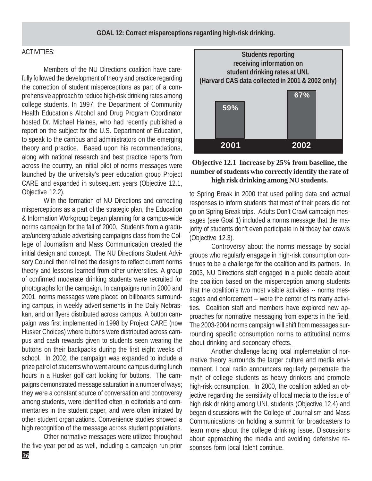#### **GOAL 12: Correct misperceptions regarding high-risk drinking.**

#### ACTIVITIES:

Members of the NU Directions coalition have carefully followed the development of theory and practice regarding the correction of student misperceptions as part of a comprehensive approach to reduce high-risk drinking rates among college students. In 1997, the Department of Community Health Education's Alcohol and Drug Program Coordinator hosted Dr. Michael Haines, who had recently published a report on the subject for the U.S. Department of Education, to speak to the campus and administrators on the emerging theory and practice. Based upon his recommendations, along with national research and best practice reports from across the country, an initial pilot of norms messages were launched by the university's peer education group Project CARE and expanded in subsequent years (Objective 12.1, Objective 12.2).

With the formation of NU Directions and correcting misperceptions as a part of the strategic plan, the Education & Information Workgroup began planning for a campus-wide norms campaign for the fall of 2000. Students from a graduate/undergraduate advertising campaigns class from the College of Journalism and Mass Communication created the initial design and concept. The NU Directions Student Advisory Council then refined the designs to reflect current norms theory and lessons learned from other universities. A group of confirmed moderate drinking students were recruited for photographs for the campaign. In campaigns run in 2000 and 2001, norms messages were placed on billboards surrounding campus, in weekly advertisements in the Daily Nebraskan, and on flyers distributed across campus. A button campaign was first implemented in 1998 by Project CARE (now Husker Choices) where buttons were distributed across campus and cash rewards given to students seen wearing the buttons on their backpacks during the first eight weeks of school. In 2002, the campaign was expanded to include a prize patrol of students who went around campus during lunch hours in a Husker golf cart looking for buttons. The campaigns demonstrated message saturation in a number of ways; they were a constant source of conversation and controversy among students, were identified often in editorials and commentaries in the student paper, and were often imitated by other student organizations. Convenience studies showed a high recognition of the message across student populations.

Other normative messages were utilized throughout the five-year period as well, including a campaign run prior



### **Objective 12.1 Increase by 25% from baseline, the number of students who correctly identify the rate of high risk drinking among NU students.**

to Spring Break in 2000 that used polling data and actrual responses to inform students that most of their peers did not go on Spring Break trips. Adults Don't Crawl campaign messages (see Goal 1) included a norms message that the majority of students don't even participate in birthday bar crawls (Objective 12.3).

Controversy about the norms message by social groups who regularly enagage in high-risk consumption continues to be a challenge for the coalition and its partners. In 2003, NU Directions staff engaged in a public debate about the coalition based on the misperception among students that the coalition's two most visible activities -- norms messages and enforcement -- were the center of its many activities. Coalition staff and members have explored new approaches for normative messaging from experts in the field. The 2003-2004 norms campaign will shift from messages surrounding specific consumption norms to attitudinal norms about drinking and secondary effects.

Another challenge facing local implemetation of normative theory surrounds the larger culture and media environment. Local radio announcers regularly perpetuate the myth of college students as heavy drinkers and promote high-risk consumption. In 2000, the coalition added an objective regarding the sensitivity of local media to the issue of high risk drinking among UNL students (Objective 12.4) and began discussions with the College of Journalism and Mass Communications on holding a summit for broadcasters to learn more about the college drinking issue. Discussions about approaching the media and avoiding defensive responses form local talent continue.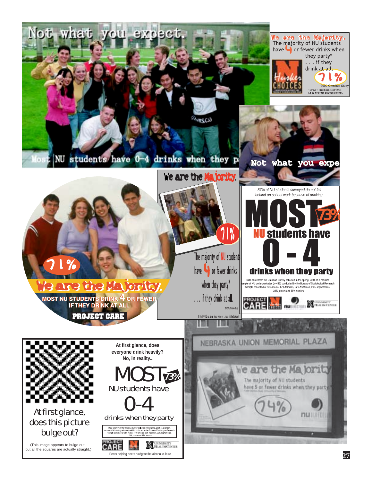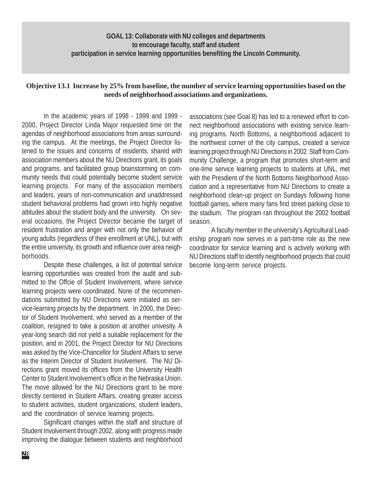# **GOAL 13: Collaborate with NU colleges and departments to encourage faculty, staff and student participation in service learning opportunities benefiting the Lincoln Community.**

## **Objective 13.1 Increase by 25% from baseline, the number of service learning opportunities based on the needs of neighborhood associations and organizations.**

In the academic years of 1998 - 1999 and 1999 - 2000, Project Director Linda Major requested time on the agendas of neighborhood associations from areas surrounding the campus. At the meetings, the Project Director listened to the issues and concerns of residents, shared with association members about the NU Directions grant, its goals and programs, and facilitated group brainstorming on community needs that could potentially become student service learning projects. For many of the association members and leaders, years of non-communication and unaddressed student behavioral problems had grown into highly negative attitudes about the student body and the university. On several occasions, the Project Director became the target of resident frustration and anger with not only the behavior of young adults (regardless of their enrollment at UNL), but with the entire university, its growth and influence over area neighborhoods.

Despite these challenges, a list of potential service learning opportunities was created from the audit and submitted to the Offcie of Student Involvement, where service learning projects were coordinated. None of the recommendations submitted by NU Directions were initiated as service-learning projects by the department. In 2000, the Director of Student Involvement, who served as a member of the coalition, resigned to take a position at another univesity. A year-long search did not yield a suitable replacement for the position, and in 2001, the Project Director for NU Directions was asked by the Vice-Chancellor for Student Affairs to serve as the Interim Director of Student Involvement. The NU Directions grant moved its offices from the University Health Center to Student Involvement's office in the Nebraska Union. The move allowed for the NU Directions grant to be more directly centered in Student Affairs, creating greater access to student activities, student organizations, student leaders, and the coordination of service learning projects.

Significant changes within the staff and structure of Student Involvement through 2002, along with progress made improving the dialogue between students and neighborhood associations (see Goal 8) has led to a renewed effort to connect neighborhood associations with existing service learning programs. North Bottoms, a neighborhood adjacent to the northwest corner of the city campus, created a service learning project through NU Directions in 2002. Staff from Community Challenge, a program that promotes short-term and one-time service learning projects to students at UNL, met with the Presdient of the North Bottoms Neighborhood Association and a representative from NU Directions to create a neighborhood clean-up project on Sundays following home football games, where many fans find street parking close to the stadium. The program ran throughout the 2002 football season.

A faculty member in the university's Agricultural Leadership program now serves in a part-time role as the new coordinator for service learning and is actively working with NU Directions staff to identify neighborhood projects that could become long-term service projects.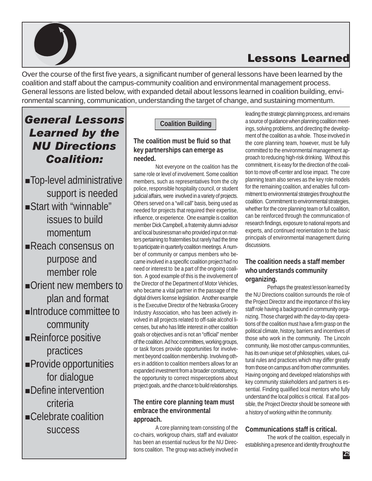

# Lessons Learned

Over the course of the first five years, a significant number of general lessons have been learned by the coalition and staff about the campus-community coalition and environmental management process. General lessons are listed below, with expanded detail about lessons learned in coalition building, environmental scanning, communication, understanding the target of change, and sustaining momentum.

# General Lessons Learned by the NU Directions Coalition:

Top-level administrative support is needed Start with "winnable" issues to build momentum Reach consensus on purpose and member role Orient new members to plan and format Introduce committee to community Reinforce positive practices Provide opportunities for dialogue Define intervention criteria Celebrate coalition success

# **Coalition Building**

# **The coalition must be fluid so that key partnerships can emerge as needed.**

Not everyone on the coalition has the same role or level of involvement. Some coalition members, such as representatives from the city police, responsible hospitality council, or student judicial affairs, were involved in a variety of projects. Others served on a "will call" basis, being used as needed for projects that required their expertise, influence, or experience. One example is coalition member Dick Campbell, a fraternity alumni advisor and local businessman who provided input on matters pertaining to fraternities but rarely had the time to participate in quarterly coalition meetings. A number of community or campus members who became involved in a specific coalition project had no need or interest to be a part of the ongoing coalition. A good example of this is the involvement of the Director of the Department of Motor Vehicles, who became a vital partner in the passage of the digital drivers license legislation. Another example is the Executive Director of the Nebraska Grocery Industry Association, who has been actively involved in all projects related to off-sale alcohol licenses, but who has little interest in other coalition goals or objectives and is not an "official" member of the coalition. Ad hoc committees, working groups, or task forces provide opportunities for involvement beyond coalition membership. Involving others in addition to coalition members allows for an expanded investment from a broader constituency, the opportunity to correct misperceptions about project goals, and the chance to build relationships.

# **The entire core planning team must embrace the environmental approach.**

A core planning team consisting of the co-chairs, workgroup chairs, staff and evaluator has been an essential nucleus for the NU Directions coalition. The group was actively involved in leading the strategic planning process, and remains a source of guidance when planning coalition meetings, solving problems, and directing the development of the coalition as a whole. Those involved in the core planning team, however, must be fully committed to the environmental management approach to reducing high-risk drinking. Without this commitment, it is easy for the direction of the coalition to move off-center and lose impact. The core planning team also serves as the key role models for the remaining coalition, and enables full commitment to environmental strategies throughout the coalition. Commitment to environmental strategies, whether for the core planning team or full coalition, can be reinforced through the communication of research findings, exposure to national reports and experts, and continued reorientation to the basic principals of environmental management during discussions.

# **The coalition needs a staff member who understands community organizing.**

Perhaps the greatest lesson learned by the NU Directions coalition surrounds the role of the Project Director and the importance of this key staff role having a background in community organizing. Those charged with the day-to-day operations of the coalition must have a firm grasp on the political climate, history, barriers and incentives of those who work in the community. The Lincoln community, like most other campus-communities, has its own unique set of philosophies, values, cultural rules and practices which may differ greatly from those on campus and from other communities. Having ongoing and developed relationships with key community stakeholders and partners is essential. Finding qualified local mentors who fully understand the local politics is critical. If at all possible, the Project Director should be someone with a history of working within the community.

# **Communications staff is critical.**

The work of the coalition, especially in establishing a presence and identity throughout the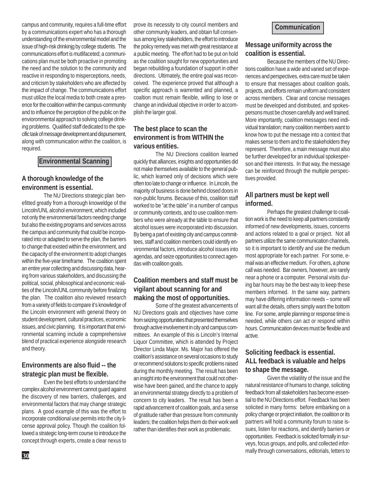campus and community, requires a full-time effort by a communications expert who has a thorough understanding of the environmental model and the issue of high-risk drinkinjg by college students. The communications effort is mutlifaceted; a communications plan must be both proactive in promoting the need and the solution to the community and reactive in responding to misperceptions, needs, and criticism by stakeholders who are affected by the impact of change. The communications effort must utilize the local media to both create a presence for the coalition within the campus-community and to influence the perception of the public on the envioronmental approach to solving college drinking problems. Qualified staff dedicated to the specific task of message development and dispursement, along with communication within the coalition, is required.

#### **Environmental Scanning**

#### **A thorough knowledge of the environment is essential.**

The NU Directions strategic plan benefitted greatly from a thorough knoweldge of the Lincoln/UNL alcohol environment, which included not only the environmental factors needing change but also the existing programs and services across the campus and community that could be incorporated into or adapted to serve the plan, the barriers to change that existed within the environment, and the capacity of the environment to adopt changes within the five-year timeframe. The coalition spent an entire year collecting and discussing data, hearing from various stakeholders, and discussing the political, social, philosophical and economic realities of the Lincoln/UNL community before finalizing the plan. The coalition also reviewed research from a variety of fields to compare it's knowledge of the Lincoln environment with general theory on student development, cultural practices, economic issues, and civic planning. It is important that environmental scanning include a copmprehensive blend of practical experience alongside research and theory.

## **Environments are also fluid -- the strategic plan must be flexible.**

Even the best efforts to understand the complex alcohol environment cannot guard against the discovery of new barriers, challenges, and environmental factors that may change strategic plans. A good example of this was the effort to incorporate conditional use permits into the city license approval policy. Though the coalition followed a strategic long-term course to introduce the concept through experts, create a clear nexus to

prove its necessity to city council members and other community leaders, and obtain full consensus among key stakeholders, the effort to introduce the policy remedy was met with great resistance at a public meeting. The effort had to be put on hold as the coalition sought for new opportunities and began rebuilding a foundation of support in other directions. Ultimately, the entire goal was reconceived. The experience proved that although a specific approach is warrented and planned, a coaltion must remain flexible, willing to lose or change an individual objective in order to accomplish the larger goal.

# **The best place to scan the environment is from WITHIN the various entities.**

The NU Directions coalition learned quickly that alliances, insights and opportunities did not make themselves available to the general public, which learned only of decisions which were often too late to change or influence. In Lincoln, the majority of business is done behind closed doors in non-public forums. Because of this, coalition staff worked to be "at the table" in a number of campus or community contexts, and to use coalition members who were already at the table to ensure that alcohol issues were incorporated into discussion. By being a part of existing city and campus committees, staff and coalition members could identify environmental factors, introduce alcohol issues into agendas, and seize opportunities to connect agendas with coalition goals.

# **Coalition members and staff must be vigilant about scanning for and making the most of opportunities.**

Some of the greatest advancements of NU Directions goals and objectives have come from seizing opportunities that presented themselves through active involvement in city and campus committees. An example of this is Lincoln's Internal Liquor Committee, which is attended by Project Director Linda Major. Ms. Major has offered the coalition's assistance on several occasions to study or recommend solutions to specific problems raised during the monthly meeting. The result has been an insight into the environment that could not otherwise have been gained, and the chance to apply an environmental strategy directly to a problem of concern to city leaders. The result has been a rapid advancement of coalition goals, and a sense of gratitude rather than pressure from community leaders; the coalition helps them do their work well rather than identifies their work as problematic.

#### **Message uniformity across the coalition is essential.**

Because the members of the NU Directions coalition have a wide and varied set of experiences and perspectives, extra care must be taken to ensure that messages about coalition goals, projects, and efforts remain uniform and consistent across members. Clear and concise messages must be developed and distributed, and spokespersons must be chosen carefully and well trained. More importantly, coalition messages need individual translation; many coalition members want to know how to put the message into a context that makes sense to them and to the stakeholders they represent. Therefore, a main message must also be further developed for an individual spokesperson and their interests. In that way, the message can be reinforced through the multiple perspectives provided.

### **All partners must be kept well informed.**

Perhaps the greatest challenge to coalition work is the need to keep all partners constantly informed of new developments, issues, concerns and actions related to a goal or project. Not all partners utilize the same communication channels, so it is important to identify and use the medium most appropriate for each partner. For some, email was an effective medium. For others, a phone call was needed. Bar owners, however, are rarely near a phone or a computer. Personal visits during bar hours may be the best way to keep these members informed. In the same way, partners may have differing information needs – some will want all the details, others simply want the bottom line. For some, ample planning or response time is needed, while others can act or respond within hours. Communication devices must be flexible and active.

### **Soliciting feedback is essential. ALL feedback is valuable and helps to shape the message.**

Given the volatility of the issue and the natural resistance of humans to change, soliciting feedback from all stakeholders has become essential to the NU Directions effort. Feedback has been solicited in many forms: before embarking on a policy change or project initiation, the coalition or its partners will hold a community forum to raise issues, listen for reactions, and identify barriers or opportunities. Feedback is solicited formally in surveys, focus groups, and polls, and collected informally through conversations, editorials, letters to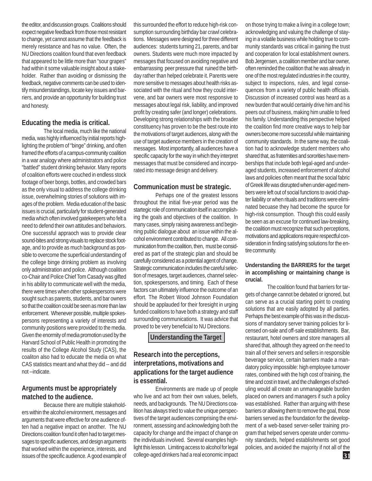the editor, and discussion groups. Coalitions should expect negative feedback from those most resistant to change, yet cannot assume that the feedback is merely resistance and has no value. Often, the NU Directions coalition found that even feedback that appeared to be little more than "sour grapes" had within it some valuable insight about a stakeholder. Rather than avoiding or dismissing the feedback, negative comments can be used to identify misunderstandings, locate key issues and barriers, and provide an opportunity for building trust and honesty.

#### **Educating the media is critical.**

The local media, much like the national media, was highly influenced by initial reports highlighting the problem of "binge" drinking, and often framed the efforts of a campus-community coalition in a war analogy where administrators and police "battled" student drinking behavior. Many reports of coalition efforts were couched in endless stock footage of beer bongs, bottles, and crowded bars as the only visual to address the college drinking issue, overwhelming stories of solutions with images of the problem. Media education of the basic issues is crucial, particularly for student-generated media which often involved gatekeepers who felt a need to defend their own attitudes and behaviors. One successful appraoch was to provide clear sound-bites and strong visuals to replace stock footage, and to provide as much background as possible to overcome the superficial understanding of the college binge drinking problem as involving only administration and police. Although coalition co-Chair and Police Chief Tom Casady was gifted in his ability to communicate well with the media, there were times when other spokespersons were sought such as parents, students, and bar owners so that the coalition could be seen as more than law enforcement. Whenever possible, multiple spokespersons representing a variety of interests and community positions were provided to the media. Given the enormity of media promotion used by the Harvard School of Public Health in promoting the results of the College Alcohol Study (CAS), the coaliton also had to educate the media on what CAS statistics meant and what they did -- and did not --indicate.

### **Arguments must be appropriately matched to the audience.**

Because there are multiple stakeholders within the alcohol environment, messages and arguments that were effective for one audience often had a negative impact on another. The NU Directions coalition found it often had to target messages to specific audiences, and design arguments that worked within the experience, interests, and issues of the specific audience. A good example of

this surrounded the effort to reduce high-risk consumption surrounding birthday bar crawl celebrations. Messages were designed for three different audiences: students turning 21, parents, and bar owners. Students were much more impacted by messages that focused on avoiding negative and embarrassing peer pressure that ruined the birthday rather than helped celebrate it. Parents were more sensitive to messages about health risks associated with the ritual and how they could intervene, and bar owners were most responsive to messages about legal risk, liability, and improved profit by creating safer (and longer) celebrations. Developing strong relationships with the broader constituency has proven to be the best route into the motivations of target audiences, along with the use of target audience members in the creation of messages. Most importantly, all audiences have a specific capacity for the way in which they interpret messages that must be considered and incorporated into message design and delivery.

#### **Communication must be strategic.**

Perhaps one of the greatest lessons throughout the initial five-year period was the startegic role of communication itself in accomplishing the goals and objectives of the coalition. In many cases, simply raising awareness and beginning public dialogue about an issue within the alcohol environment contributed to change. All communication from the coalition, then, must be considered as part of the strategic plan and should be carefully considered as a potential agent of change. Strategic communication includes the careful selection of mesages, target audiences, channel selection, spokespersons, and timing. Each of these factors can ultimately influence the outcome of an effort. The Robert Wood Johnson Foundation should be applauded for their foresight in urging funded coalitions to have both a strategy and staff surrounding communications. It was advice that proved to be very beneficial to NU Directions.

**Understanding the Target**

## **Research into the perceptions, interpretations, motivations and applications for the target audience is essential.**

Environments are made up of people who live and act from their own values, beliefs, needs, and backgrounds. The NU Directions coalition has always tried to value the unique perspectives of the target audiences comprising the environment, assessing and acknowledging both the capacity for change and the impact of change on the individuals involved. Several examples highlight this lesson. Limiting access to alcohol for legal college-aged drinkers had a real economic impact on those trying to make a living in a college town; acknowledging and valuing the challenge of staying in a volatile business while holding true to community standards was critical in gaining the trust and cooperation for local establishment owners. Bob Jergensen, a coalition member and bar owner, often reminded the coalition that he was already in one of the most regulated industries in the country, subject to inspections, rules, and legal consequences from a variety of public health officials. Discussion of increased control was heard as a new burden that would certainly drive him and his peers out of business, making him unable to feed his family. Understanding this perspective helped the coalition find more creative ways to help bar owners become more successful while maintaining community standards. In the same way, the coalition had to acknowledge student members who shared that, as fraternities and sororities have memberships that include both legal-aged and underaged students, increased enforcement of alcohol laws and policies often meant that the social fabric of Greek life was disrupted when under-aged members were left out of social functions to avoid chapter liability or when rituals and traditions were eliminated becuase they had become the spurce for high-risk consumption. Though this could easily be seen as an excuse for continued law-breaking, the coalition must recognize that such perceptions, motivations and applications require respectful consideration in finding satisfying solutions for the entire community.

#### **Understanding the BARRIERS for the target in accomplishing or maintaining change is crucial.**

The coalition found that barriers for targets of change cannot be debated or ignored, but can serve as a crucial starting point to creating solutions that are easily adopted by all parties. Perhaps the best example of this was in the discussions of mandatory server training policies for licensed on-sale and off-sale establishments. Bar, restaurant, hotel owners and store managers all shared that, although they agreed on the need to train all of their servers and sellers in responsible beverage service, certain barriers made a mandatory policy impossible: high employee turnover rates, combined with the high cost of training, the time and cost in travel, and the challenges of scheduling would all create an unmanageable burden placed on owners and managers if such a policy was established. Rather than arguing with these barriers or allowing them to remove the goal, those barriers served as the foundation for the development of a web-based server-seller training program that helped servers operate under community standards, helped establishments set good policies, and avoided the majority if not all of the